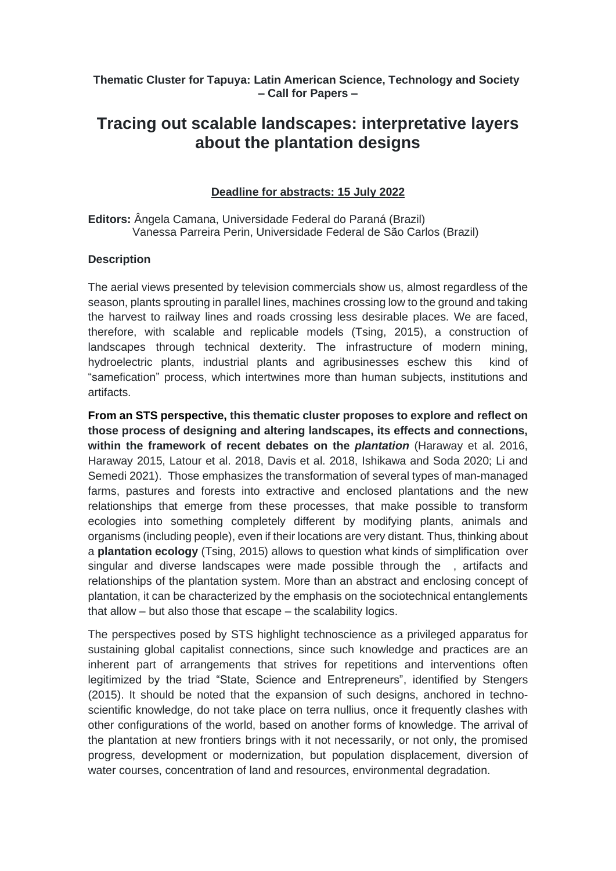**Thematic Cluster for Tapuya: Latin American Science, Technology and Society – Call for Papers –**

# **Tracing out scalable landscapes: interpretative layers about the plantation designs**

### **Deadline for abstracts: 15 July 2022**

**Editors:** Ângela Camana, Universidade Federal do Paraná (Brazil) Vanessa Parreira Perin, Universidade Federal de São Carlos (Brazil)

#### **Description**

The aerial views presented by television commercials show us, almost regardless of the season, plants sprouting in parallel lines, machines crossing low to the ground and taking the harvest to railway lines and roads crossing less desirable places. We are faced, therefore, with scalable and replicable models (Tsing, 2015), a construction of landscapes through technical dexterity. The infrastructure of modern mining, hydroelectric plants, industrial plants and agribusinesses eschew this kind of "samefication" process, which intertwines more than human subjects, institutions and artifacts.

**From an STS perspective, this thematic cluster proposes to explore and reflect on those process of designing and altering landscapes, its effects and connections, within the framework of recent debates on the** *plantation* (Haraway et al. 2016, Haraway 2015, Latour et al. 2018, Davis et al. 2018, Ishikawa and Soda 2020; Li and Semedi 2021). Those emphasizes the transformation of several types of man-managed farms, pastures and forests into extractive and enclosed plantations and the new relationships that emerge from these processes, that make possible to transform ecologies into something completely different by modifying plants, animals and organisms (including people), even if their locations are very distant. Thus, thinking about a **plantation ecology** (Tsing, 2015) allows to question what kinds of simplification over singular and diverse landscapes were made possible through the , artifacts and relationships of the plantation system. More than an abstract and enclosing concept of plantation, it can be characterized by the emphasis on the sociotechnical entanglements that allow – but also those that escape – the scalability logics.

The perspectives posed by STS highlight technoscience as a privileged apparatus for sustaining global capitalist connections, since such knowledge and practices are an inherent part of arrangements that strives for repetitions and interventions often legitimized by the triad "State, Science and Entrepreneurs", identified by Stengers (2015). It should be noted that the expansion of such designs, anchored in technoscientific knowledge, do not take place on terra nullius, once it frequently clashes with other configurations of the world, based on another forms of knowledge. The arrival of the plantation at new frontiers brings with it not necessarily, or not only, the promised progress, development or modernization, but population displacement, diversion of water courses, concentration of land and resources, environmental degradation.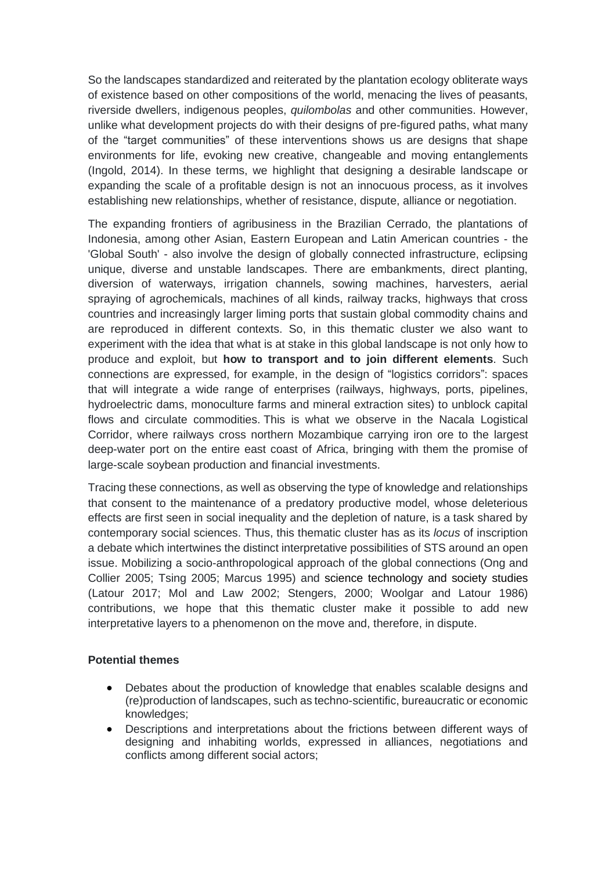So the landscapes standardized and reiterated by the plantation ecology obliterate ways of existence based on other compositions of the world, menacing the lives of peasants, riverside dwellers, indigenous peoples, *quilombolas* and other communities. However, unlike what development projects do with their designs of pre-figured paths, what many of the "target communities" of these interventions shows us are designs that shape environments for life, evoking new creative, changeable and moving entanglements (Ingold, 2014). In these terms, we highlight that designing a desirable landscape or expanding the scale of a profitable design is not an innocuous process, as it involves establishing new relationships, whether of resistance, dispute, alliance or negotiation.

The expanding frontiers of agribusiness in the Brazilian Cerrado, the plantations of Indonesia, among other Asian, Eastern European and Latin American countries - the 'Global South' - also involve the design of globally connected infrastructure, eclipsing unique, diverse and unstable landscapes. There are embankments, direct planting, diversion of waterways, irrigation channels, sowing machines, harvesters, aerial spraying of agrochemicals, machines of all kinds, railway tracks, highways that cross countries and increasingly larger liming ports that sustain global commodity chains and are reproduced in different contexts. So, in this thematic cluster we also want to experiment with the idea that what is at stake in this global landscape is not only how to produce and exploit, but **how to transport and to join different elements**. Such connections are expressed, for example, in the design of "logistics corridors": spaces that will integrate a wide range of enterprises (railways, highways, ports, pipelines, hydroelectric dams, monoculture farms and mineral extraction sites) to unblock capital flows and circulate commodities. This is what we observe in the Nacala Logistical Corridor, where railways cross northern Mozambique carrying iron ore to the largest deep-water port on the entire east coast of Africa, bringing with them the promise of large-scale soybean production and financial investments.

Tracing these connections, as well as observing the type of knowledge and relationships that consent to the maintenance of a predatory productive model, whose deleterious effects are first seen in social inequality and the depletion of nature, is a task shared by contemporary social sciences. Thus, this thematic cluster has as its *locus* of inscription a debate which intertwines the distinct interpretative possibilities of STS around an open issue. Mobilizing a socio-anthropological approach of the global connections (Ong and Collier 2005; Tsing 2005; Marcus 1995) and science technology and society studies (Latour 2017; Mol and Law 2002; Stengers, 2000; Woolgar and Latour 1986) contributions, we hope that this thematic cluster make it possible to add new interpretative layers to a phenomenon on the move and, therefore, in dispute.

### **Potential themes**

- Debates about the production of knowledge that enables scalable designs and (re)production of landscapes, such as techno-scientific, bureaucratic or economic knowledges;
- Descriptions and interpretations about the frictions between different ways of designing and inhabiting worlds, expressed in alliances, negotiations and conflicts among different social actors;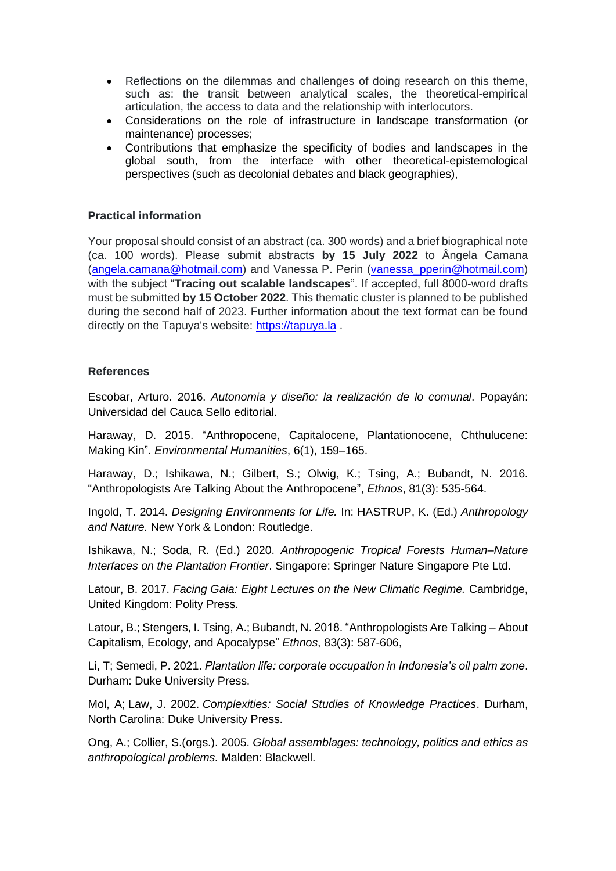- Reflections on the dilemmas and challenges of doing research on this theme, such as: the transit between analytical scales, the theoretical-empirical articulation, the access to data and the relationship with interlocutors.
- Considerations on the role of infrastructure in landscape transformation (or maintenance) processes;
- Contributions that emphasize the specificity of bodies and landscapes in the global south, from the interface with other theoretical-epistemological perspectives (such as decolonial debates and black geographies),

## **Practical information**

Your proposal should consist of an abstract (ca. 300 words) and a brief biographical note (ca. 100 words). Please submit abstracts **by 15 July 2022** to Ângela Camana [\(angela.camana@hotmail.com\)](mailto:angela.camana@hotmail.com) and Vanessa P. Perin [\(vanessa\\_pperin@hotmail.com\)](mailto:vanessa_pperin@hotmail.com) with the subject "**Tracing out scalable landscapes**". If accepted, full 8000-word drafts must be submitted **by 15 October 2022**. This thematic cluster is planned to be published during the second half of 2023. Further information about the text format can be found directly on the Tapuya's website: [https://tapuya.la](https://tapuya.la/) .

### **References**

Escobar, Arturo. 2016. *Autonomia y diseño: la realización de lo comunal*. Popayán: Universidad del Cauca Sello editorial.

Haraway, D. 2015. "Anthropocene, Capitalocene, Plantationocene, Chthulucene: Making Kin". *Environmental Humanities*, 6(1), 159–165.

Haraway, D.; Ishikawa, N.; Gilbert, S.; Olwig, K.; Tsing, A.; Bubandt, N. 2016. "Anthropologists Are Talking About the Anthropocene", *Ethnos*, 81(3): 535-564.

Ingold, T. 2014. *Designing Environments for Life.* In: HASTRUP, K. (Ed.) *Anthropology and Nature.* New York & London: Routledge.

Ishikawa, N.; Soda, R. (Ed.) 2020. *Anthropogenic Tropical Forests Human–Nature Interfaces on the Plantation Frontier*. Singapore: Springer Nature Singapore Pte Ltd.

Latour, B. 2017. *Facing Gaia: Eight Lectures on the New Climatic Regime.* Cambridge, United Kingdom: Polity Press*.*

Latour, B.; Stengers, I. Tsing, A.; Bubandt, N. 2018. "Anthropologists Are Talking – About Capitalism, Ecology, and Apocalypse" *Ethnos*, 83(3): 587-606,

Li, T; Semedi, P. 2021. *Plantation life: corporate occupation in Indonesia's oil palm zone*. Durham: Duke University Press.

Mol, A; Law, J. 2002. *Complexities: Social Studies of Knowledge Practices*. Durham, North Carolina: Duke University Press.

Ong, A.; Collier, S.(orgs.). 2005. *Global assemblages: technology, politics and ethics as anthropological problems.* Malden: Blackwell.